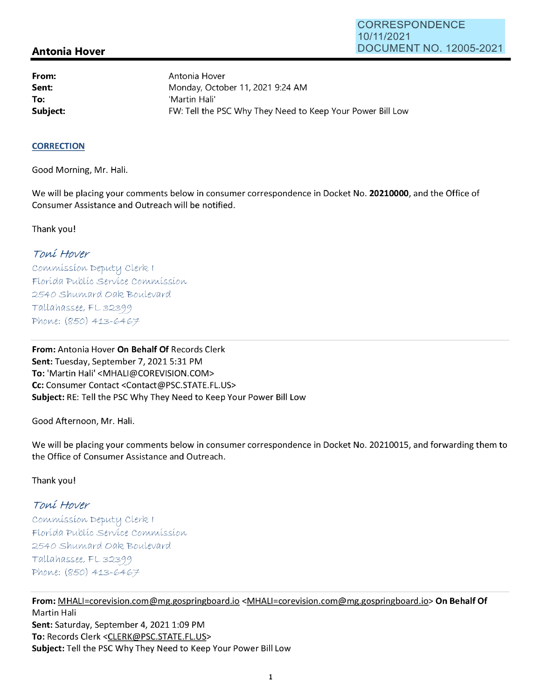## **Antonia Hover**

**From: Sent: To:** 

Antonia Hover Monday, October 11, 2021 9:24 **AM**  'Martin Hali' **Subject: FW: Tell the PSC Why They Need to Keep Your Power Bill Low** 

#### **CORRECTION**

Good Morning, Mr. Hali.

We will be placing your comments below in consumer correspondence in Docket No. **20210000,** and the Office of Consumer Assistance and Outreach will be notified.

Thank you!

# Toni Hover

Commission Deputy Clerk I Florída Publíc Servíce Commission 2540 Shumard Oak Boulevard Tallahassee, FL32399 Phone:  $(850)$  413-6467

**From:** Antonia Hover **On Behalf Of** Records Clerk Sent: Tuesday, September 7, 2021 5:31 PM **To:** 'Martin Hali' <MHALl@COREVISION.COM> **Cc:** Consumer Contact <Contact@PSC.STATE.FL.US> **Subject:** RE: Tell the PSC Why They Need to Keep Your Power Bill Low

Good Afternoon, Mr. Hali.

We will be placing your comments below in consumer correspondence in Docket No. 20210015, and forwarding them to the Office of Consumer Assistance and Outreach.

#### Thank you!

## Toni Hover

Commission Deputy Clerk I Florída Publíc Servíce Commission 2540 Shumard Oak Boulevard Tallahassee, FL 32399 Phone:  $(850)$  413-6467

**From:** MHALl=corevision.com@mg.gospringboard.io <MHALl=corevision.com@mg.gospringboard.io> **On Behalf Of**  Martin Hali Sent: Saturday, September 4, 2021 1:09 PM **To:** Records Clerk <CLERK@PSC.STATE.FL.US> **Subject:** Tell the PSC Why They Need to Keep Your Power Bill Low